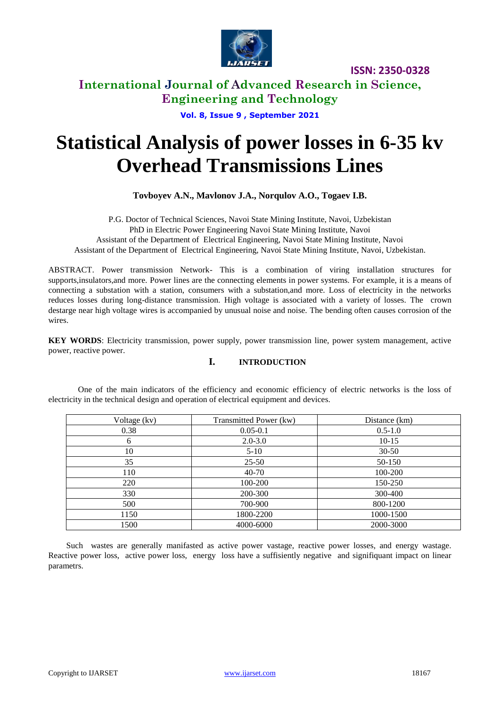

**International Journal of Advanced Research in Science, Engineering and Technology**

**Vol. 8, Issue 9 , September 2021**

# **Statistical Analysis of power losses in 6-35 kv Overhead Transmissions Lines**

**Tovbоyev A.N., Mavlonov J.A., Norqulov A.O., Togaev I.B.**

P.G. Doctor of Technical Sciences, Navoi State Mining Institute, Navoi, Uzbekistan PhD in Electric Power Engineering Navoi State Mining Institute, Navoi Assistant of the Department of Electrical Engineering, Navoi State Mining Institute, Navoi Assistant of the Department of Electrical Engineering, Navoi State Mining Institute, Navoi, Uzbekistan.

ABSTRACT. Power transmission Network- This is a combination of viring installation structures for supports,insulators,and more. Power lines are the connecting elements in power systems. For example, it is a means of connecting a substation with a station, consumers with a substation,and more. Loss of electricity in the networks reduces losses during long-distance transmission. High voltage is associated with a variety of losses. The crown destarge near high voltage wires is accompanied by unusual noise and noise. The bending often causes corrosion of the wires.

**KEY WORDS**: Electricity transmission, power supply, power transmission line, power system management, active power, reactive power.

#### **I. INTRODUCTION**

One of the main indicators of the efficiency and economic efficiency of electric networks is the loss of electricity in the technical design and operation of electrical equipment and devices.

| Voltage (kv) | Transmitted Power (kw) | Distance (km) |
|--------------|------------------------|---------------|
| 0.38         | $0.05 - 0.1$           | $0.5 - 1.0$   |
| 6            | $2.0 - 3.0$            | $10-15$       |
| 10           | $5-10$                 | $30 - 50$     |
| 35           | $25 - 50$              | 50-150        |
| 110          | $40 - 70$              | 100-200       |
| 220          | 100-200                | 150-250       |
| 330          | 200-300                | 300-400       |
| 500          | 700-900                | 800-1200      |
| 1150         | 1800-2200              | 1000-1500     |
| 1500         | 4000-6000              | 2000-3000     |

Such wastes are generally manifasted as active power vastage, reactive power losses, and energy wastage. Reactive power loss, active power loss, energy loss have a suffisiently negative and signifiquant impact on linear parametrs.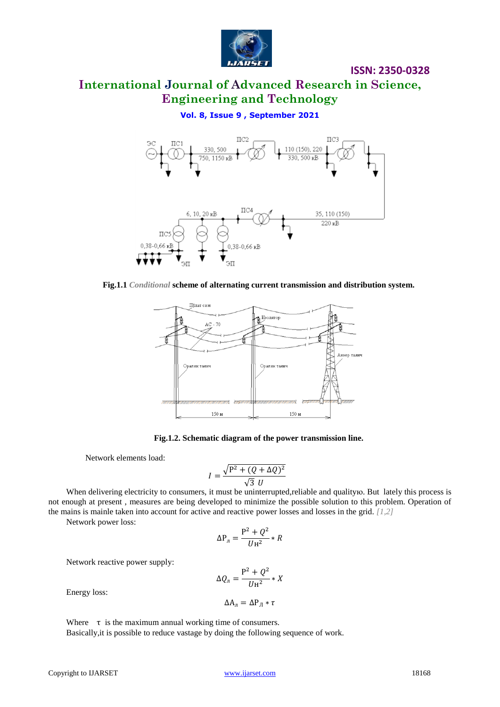

## **International Journal of Advanced Research in Science, Engineering and Technology**

**Vol. 8, Issue 9 , September 2021**



**Fig.1.1** *Conditional* **scheme of alternating current transmission and distribution system.**



**Fig.1.2. Schematic diagram of the power transmission line.**

Network elements load:

$$
I = \frac{\sqrt{P^2 + (Q + \Delta Q)^2}}{\sqrt{3} U}
$$

When delivering electricity to consumers, it must be uninterrupted, reliable and quality to. But lately this process is not enough at present , measures are being developed to minimize the possible solution to this problem. Operation of the mains is mainle taken into account for active and reactive power losses and losses in the grid. *[1,2]*

Network power loss:

$$
\Delta P_{\pi} = \frac{P^2 + Q^2}{UH^2} * R
$$

Network reactive power supply:

$$
\Delta Q_{\rm n} = \frac{P^2 + Q^2}{U{\rm H}^2} * X
$$

 $\Delta A_{\pi} = \Delta P_{\pi} * \tau$ 

Energy loss:

Where  $\tau$  is the maximum annual working time of consumers. Basically,it is possible to reduce vastage by doing the following sequence of work.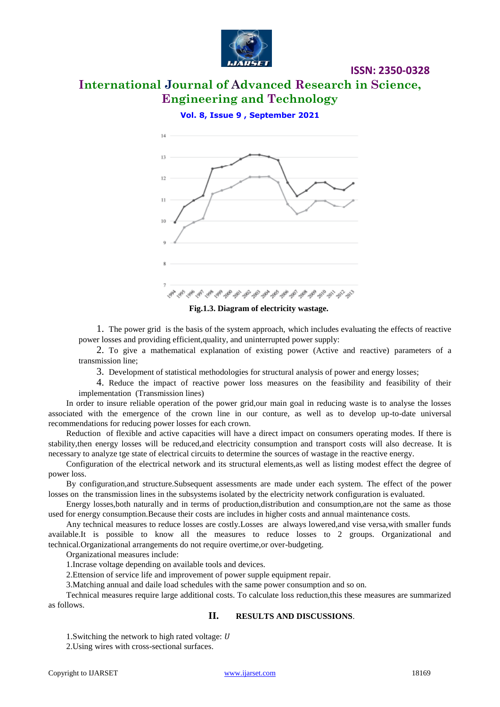

## **International Journal of Advanced Research in Science, Engineering and Technology**

**ISSN: 2350-0328**

**Vol. 8, Issue 9 , September 2021**



**Fig.1.3. Diagram of electricity wastage.**

1. The power grid is the basis of the system approach, which includes evaluating the effects of reactive power losses and providing efficient,quality, and uninterrupted power supply:

2. To give a mathematical explanation of existing power (Active and reactive) parameters of a transmission line;

3. Development of statistical methodologies for structural analysis of power and energy losses;

4. Reduce the impact of reactive power loss measures on the feasibility and feasibility of their implementation (Transmission lines)

In order to insure reliable operation of the power grid,our main goal in reducing waste is to analyse the losses associated with the emergence of the crown line in our conture, as well as to develop up-to-date universal recommendations for reducing power losses for each crown.

Reduction of flexible and active capacities will have a direct impact on consumers operating modes. If there is stability,then energy losses will be reduced,and electricity consumption and transport costs will also decrease. It is necessary to analyze tge state of electrical circuits to determine the sources of wastage in the reactive energy.

Configuration of the electrical network and its structural elements,as well as listing modest effect the degree of power loss.

By configuration,and structure.Subsequent assessments are made under each system. The effect of the power losses on the transmission lines in the subsystems isolated by the electricity network configuration is evaluated.

Energy losses,both naturally and in terms of production,distribution and consumption,are not the same as those used for energy consumption.Because their costs are includes in higher costs and annual maintenance costs.

Any technical measures to reduce losses are costly.Losses are always lowered,and vise versa,with smaller funds available.It is possible to know all the measures to reduce losses to 2 groups. Organizational and technical.Organizational arrangements do not require overtime,or over-budgeting.

Organizational measures include:

1.Incrase voltage depending on available tools and devices.

2.Ettension of service life and improvement of power supple equipment repair.

3.Matching annual and daile load schedules with the same power consumption and so on.

Technical measures require large additional costs. To calculate loss reduction,this these measures are summarized as follows.

#### **II. RESULTS AND DISCUSSIONS**.

1. Switching the network to high rated voltage: U

2.Using wires with cross-sectional surfaces.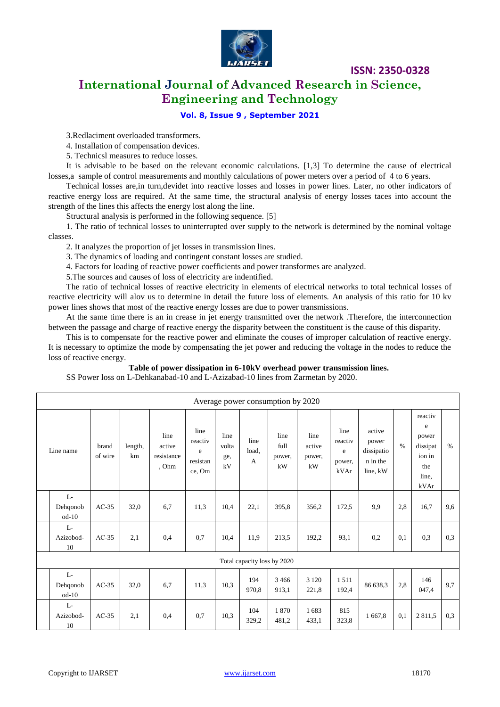

**International Journal of Advanced Research in Science, Engineering and Technology**

#### **Vol. 8, Issue 9 , September 2021**

3.Redlaciment overloaded transformers.

4. Installation of compensation devices.

5. Technicsl measures to reduce losses.

It is advisable to be based on the relevant economic calculations. [1,3] To determine the cause of electrical losses,a sample of control measurements and monthly calculations of power meters over a period of 4 to 6 years.

Technical losses are,in turn,devidet into reactive losses and losses in power lines. Later, no other indicators of reactive energy loss are required. At the same time, the structural analysis of energy losses taces into account the strength of the lines this affects the energy lost along the line.

Structural analysis is performed in the following sequence. [5]

1. The ratio of technical losses to uninterrupted over supply to the network is determined by the nominal voltage classes.

2. It analyzes the proportion of jet losses in transmission lines.

3. The dynamics of loading and contingent constant losses are studied.

4. Factors for loading of reactive power coefficients and power transformes are analyzed.

5.The sources and causes of loss of electricity are indentified.

The ratio of technical losses of reactive electricity in elements of electrical networks to total technical losses of reactive electricity will alov us to determine in detail the future loss of elements. An analysis of this ratio for 10 kv power lines shows that most of the reactive energy losses are due to power transmissions.

At the same time there is an in crease in jet energy transmitted over the network .Therefore, the interconnection between the passage and charge of reactive energy the disparity between the constituent is the cause of this disparity.

This is to compensate for the reactive power and eliminate the couses of improper calculation of reactive energy. It is necessary to optimize the mode by compensating the jet power and reducing the voltage in the nodes to reduce the loss of reactive energy.

#### **Table of power dissipation in 6-10kV overhead power transmission lines.**

SS Power loss on L-Dehkanabad-10 and L-Azizabad-10 lines from Zarmetan by 2020.

| Average power consumption by 2020 |                  |               |                                       |                                            |                            |                               |                              |                                |                                        |                                                       |               |                                                                     |      |
|-----------------------------------|------------------|---------------|---------------------------------------|--------------------------------------------|----------------------------|-------------------------------|------------------------------|--------------------------------|----------------------------------------|-------------------------------------------------------|---------------|---------------------------------------------------------------------|------|
| Line name                         | brand<br>of wire | length,<br>km | line<br>active<br>resistance<br>, Ohm | line<br>reactiv<br>e<br>resistan<br>ce, Om | line<br>volta<br>ge,<br>kV | line<br>load.<br>$\mathbf{A}$ | line<br>full<br>power,<br>kW | line<br>active<br>power,<br>kW | line<br>reactiv<br>e<br>power,<br>kVAr | active<br>power<br>dissipatio<br>n in the<br>line, kW | $\frac{0}{0}$ | reactiv<br>e<br>power<br>dissipat<br>ion in<br>the<br>line.<br>kVAr | $\%$ |
| $L-$<br>Dehqonob<br>$od-10$       | $AC-35$          | 32,0          | 6,7                                   | 11,3                                       | 10,4                       | 22,1                          | 395,8                        | 356,2                          | 172,5                                  | 9,9                                                   | 2,8           | 16,7                                                                | 9,6  |
| L-<br>Azizobod-<br>10             | $AC-35$          | 2,1           | 0,4                                   | 0.7                                        | 10,4                       | 11,9                          | 213,5                        | 192,2                          | 93,1                                   | 0,2                                                   | 0,1           | 0,3                                                                 | 0,3  |
| Total capacity loss by 2020       |                  |               |                                       |                                            |                            |                               |                              |                                |                                        |                                                       |               |                                                                     |      |
| L-<br>Dehqonob<br>$od-10$         | $AC-35$          | 32,0          | 6,7                                   | 11,3                                       | 10.3                       | 194<br>970,8                  | 3 4 6 6<br>913,1             | 3 1 2 0<br>221,8               | 1.511<br>192,4                         | 86 638,3                                              | 2,8           | 146<br>047,4                                                        | 9,7  |
| L-<br>Azizobod-<br>10             | $AC-35$          | 2,1           | 0,4                                   | 0,7                                        | 10,3                       | 104<br>329,2                  | 1870<br>481,2                | 1683<br>433,1                  | 815<br>323,8                           | 1 667,8                                               | 0,1           | 2811.5                                                              | 0,3  |